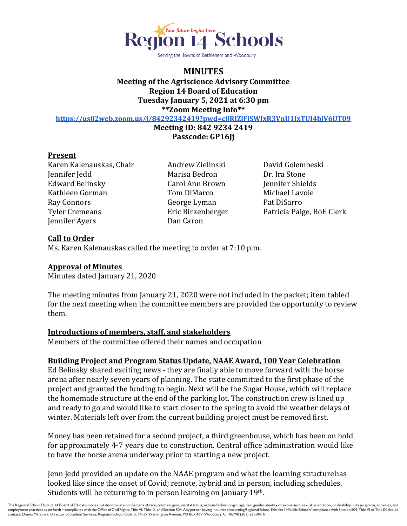

Serving the Towns of Bethlehem and Woodbury

## **MINUTES Meeting of the Agriscience Advisory Committee Region 14 Board of Education Tuesday January 5, 2021 at 6:30 pm \*\*Zoom Meeting Info\*\***

**<https://us02web.zoom.us/j/84292342419?pwd=c0RJZjFjSWJxR3VnU1IxTUI4bjV6UT09>**

**Meeting ID: 842 9234 2419**

**Passcode: GP16Jj**

## **Present**

Karen Kalenauskas, Chair Andrew Zielinski David Golembeski Jennifer Jedd Marisa Bedron Dr. Ira Stone Edward Belinsky Carol Ann Brown Jennifer Shields Kathleen Gorman Tom DiMarco Michael Lavoie Ray Connors George Lyman Pat DiSarro Jennifer Ayers Dan Caron

Tyler Cremeans Eric Birkenberger Patricia Paige, BoE Clerk

# **Call to Order**

Ms. Karen Kalenauskas called the meeting to order at 7:10 p.m.

# **Approval of Minutes**

Minutes dated January 21, 2020

The meeting minutes from January 21, 2020 were not included in the packet; item tabled for the next meeting when the committee members are provided the opportunity to review them.

# **Introductions of members, staff, and stakeholders**

Members of the committee offered their names and occupation

# **Building Project and Program Status Update, NAAE Award, 100 Year Celebration**

Ed Belinsky shared exciting news - they are finally able to move forward with the horse arena after nearly seven years of planning. The state committed to the first phase of the project and granted the funding to begin. Next will be the Sugar House, which will replace the homemade structure at the end of the parking lot. The construction crew is lined up and ready to go and would like to start closer to the spring to avoid the weather delays of winter. Materials left over from the current building project must be removed first.

Money has been retained for a second project, a third greenhouse, which has been on hold for approximately 4-7 years due to construction. Central office administration would like to have the horse arena underway prior to starting a new project.

Jenn Jedd provided an update on the NAAE program and what the learning structurehas looked like since the onset of Covid; remote, hybrid and in person, including schedules. Students will be returning to in person learning on January 19th.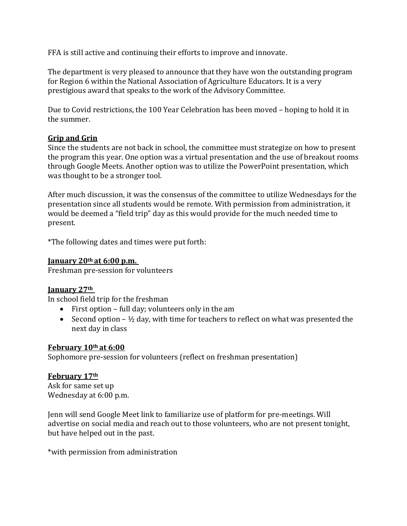FFA is still active and continuing their efforts to improve and innovate.

The department is very pleased to announce that they have won the outstanding program for Region 6 within the National Association of Agriculture Educators. It is a very prestigious award that speaks to the work of the Advisory Committee.

Due to Covid restrictions, the 100 Year Celebration has been moved – hoping to hold it in the summer.

# **Grip and Grin**

Since the students are not back in school, the committee must strategize on how to present the program this year. One option was a virtual presentation and the use of breakout rooms through Google Meets. Another option was to utilize the PowerPoint presentation, which was thought to be a stronger tool.

After much discussion, it was the consensus of the committee to utilize Wednesdays for the presentation since all students would be remote. With permission from administration, it would be deemed a "field trip" day as this would provide for the much needed time to present.

\*The following dates and times were put forth:

### **January 20th at 6:00 p.m.**

Freshman pre-session for volunteers

# **January 27th**

In school field trip for the freshman

- First option full day; volunteers only in the am
- Second option  $\frac{1}{2}$  day, with time for teachers to reflect on what was presented the next day in class

# **February 10th at 6:00**

Sophomore pre-session for volunteers (reflect on freshman presentation)

# **February 17th**

Ask for same set up Wednesday at 6:00 p.m.

Jenn will send Google Meet link to familiarize use of platform for pre-meetings. Will advertise on social media and reach out to those volunteers, who are not present tonight, but have helped out in the past.

\*with permission from administration